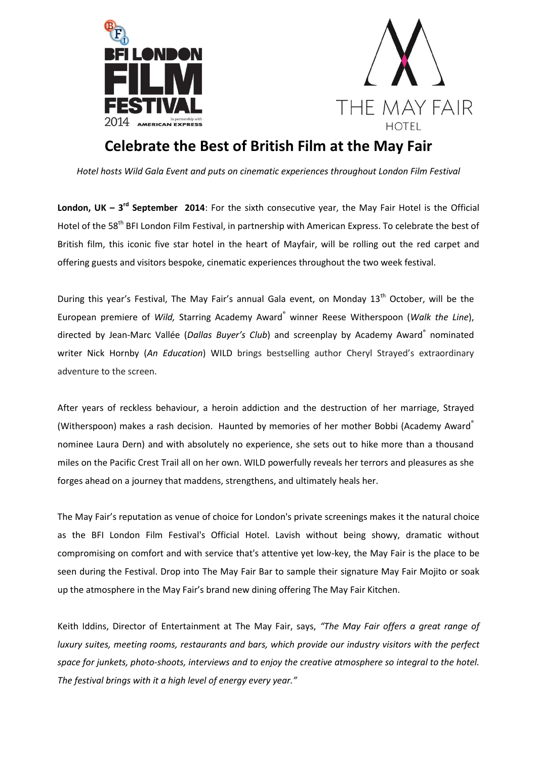



# **Celebrate the Best of British Film at the May Fair**

*Hotel hosts Wild Gala Event and puts on cinematic experiences throughout London Film Festival*

**London, UK – 3<sup>rd</sup> September 2014:** For the sixth consecutive year, the May Fair Hotel is the Official Hotel of the 58<sup>th</sup> BFI London Film Festival, in partnership with American Express. To celebrate the best of British film, this iconic five star hotel in the heart of Mayfair, will be rolling out the red carpet and offering guests and visitors bespoke, cinematic experiences throughout the two week festival.

During this year's Festival, The May Fair's annual Gala event, on Monday 13<sup>th</sup> October, will be the European premiere of *Wild,* Starring Academy Award® winner Reese Witherspoon (*Walk the Line*), directed by Jean-Marc Vallée (Dallas Buyer's Club) and screenplay by Academy Award<sup>®</sup> nominated writer Nick Hornby (*An Education*) WILD brings bestselling author Cheryl Strayed's extraordinary adventure to the screen.

After years of reckless behaviour, a heroin addiction and the destruction of her marriage, Strayed (Witherspoon) makes a rash decision. Haunted by memories of her mother Bobbi (Academy Award®) nominee Laura Dern) and with absolutely no experience, she sets out to hike more than a thousand miles on the Pacific Crest Trail all on her own. WILD powerfully reveals her terrors and pleasures as she forges ahead on a journey that maddens, strengthens, and ultimately heals her.

The May Fair's reputation as venue of choice for London's private screenings makes it the natural choice as the BFI London Film Festival's Official Hotel. Lavish without being showy, dramatic without compromising on comfort and with service that's attentive yet low-key, the May Fair is the place to be seen during the Festival. Drop into The May Fair Bar to sample their signature May Fair Mojito or soak up the atmosphere in the May Fair's brand new dining offering The May Fair Kitchen.

Keith Iddins, Director of Entertainment at The May Fair, says, *"The May Fair offers a great range of luxury suites, meeting rooms, restaurants and bars, which provide our industry visitors with the perfect space for junkets, photo-shoots, interviews and to enjoy the creative atmosphere so integral to the hotel. The festival brings with it a high level of energy every year."*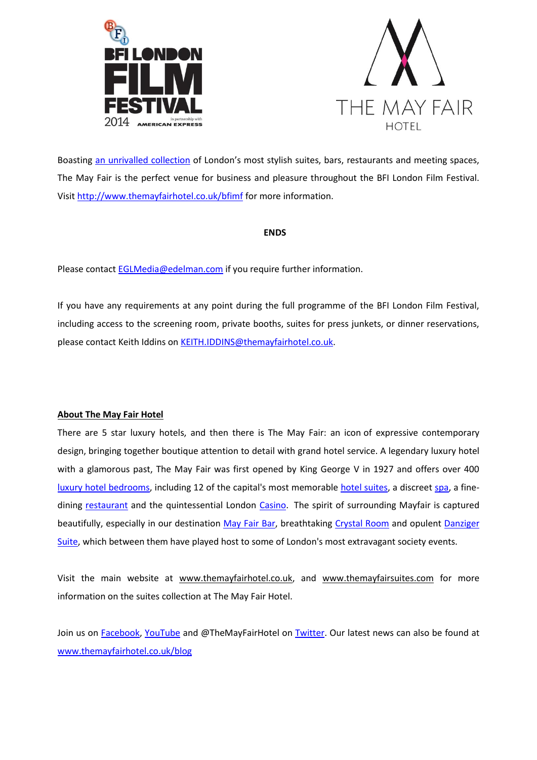



Boasting [an unrivalled collection](http://www.themayfairsuites.com/) of London's most stylish suites, bars, restaurants and meeting spaces, The May Fair is the perfect venue for business and pleasure throughout the BFI London Film Festival. Visi[t http://www.themayfairhotel.co.uk/bfimf](http://www.themayfairhotel.co.uk/bfimf) for more information.

#### **ENDS**

Please contact [EGLMedia@edelman.com](mailto:EGLMedia@edelman.com) if you require further information.

If you have any requirements at any point during the full programme of the BFI London Film Festival, including access to the screening room, private booths, suites for press junkets, or dinner reservations, please contact Keith Iddins on [KEITH.IDDINS@themayfairhotel.co.uk.](mailto:KEITH.IDDINS@themayfairhotel.co.uk)

#### **About The May Fair Hotel**

There are 5 star luxury hotels, and then there is The May Fair: an icon of expressive contemporary design, bringing together boutique attention to detail with grand hotel service. A legendary luxury hotel with a glamorous past, The May Fair was first opened by King George V in 1927 and offers over 400 [luxury hotel bedrooms,](http://www.themayfairhotel.co.uk/rooms_and_suites) including 12 of the capital's most memorable [hotel suites,](http://www.themayfairsuites.com/) a discreet [spa,](http://www.themayfairhotel.co.uk/spa) a finedining [restaurant](http://www.themayfairhotel.co.uk/mayfairkitchen) and the quintessential London [Casino.](http://www.themayfairhotel.co.uk/casino) The spirit of surrounding Mayfair is captured beautifully, especially in our destination [May Fair Bar,](http://www.themayfairhotel.co.uk/bar) breathtaking [Crystal Room](http://www.themayfairhotel.co.uk/crystal) and opulent Danziger [Suite,](http://www.themayfairhotel.co.uk/danziger) which between them have played host to some of London's most extravagant society events.

Visit the main website at [www.themayfairhotel.co.uk,](http://www.themayfairhotel.co.uk/) and [www.themayfairsuites.com](http://www.themayfairsuites.com/) for more information on the suites collection at The May Fair Hotel.

Join us on [Facebook,](http://www.facebook.com/TheMayFair) [YouTube](http://www.youtube.com/TheMayFairHotel) and @TheMayFairHotel on [Twitter.](http://www.twitter.com/TheMayFairHotel) Our latest news can also be found at [www.themayfairhotel.co.uk/blog](http://www.themayfairhotel.co.uk/blog)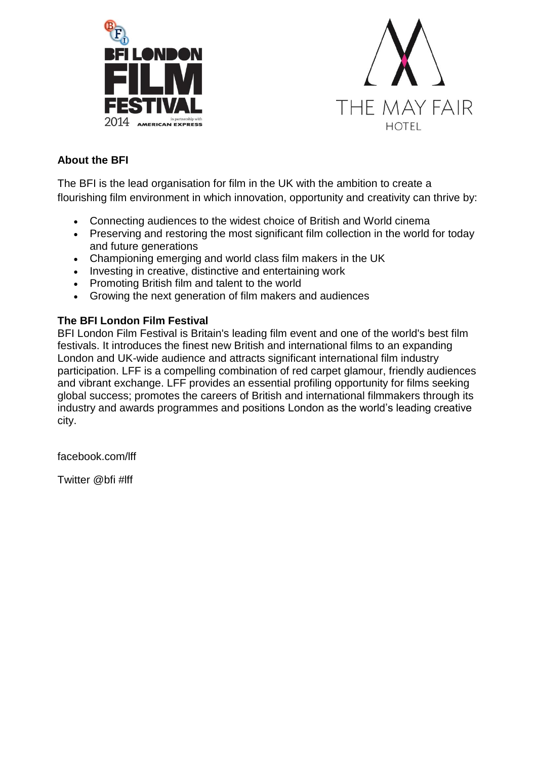



## **About the BFI**

The BFI is the lead organisation for film in the UK with the ambition to create a flourishing film environment in which innovation, opportunity and creativity can thrive by:

- Connecting audiences to the widest choice of British and World cinema
- Preserving and restoring the most significant film collection in the world for today and future generations
- Championing emerging and world class film makers in the UK
- Investing in creative, distinctive and entertaining work
- Promoting British film and talent to the world
- Growing the next generation of film makers and audiences

### **The BFI London Film Festival**

BFI London Film Festival is Britain's leading film event and one of the world's best film festivals. It introduces the finest new British and international films to an expanding London and UK-wide audience and attracts significant international film industry participation. LFF is a compelling combination of red carpet glamour, friendly audiences and vibrant exchange. LFF provides an essential profiling opportunity for films seeking global success; promotes the careers of British and international filmmakers through its industry and awards programmes and positions London as the world's leading creative city.

facebook.com/lff

Twitter @bfi #lff